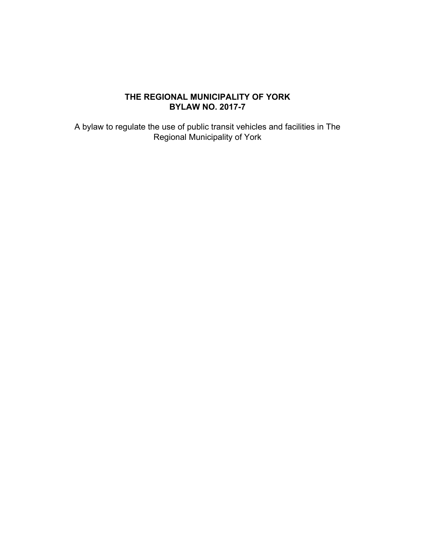## **THE REGIONAL MUNICIPALITY OF YORK BYLAW NO. 2017-7**

A bylaw to regulate the use of public transit vehicles and facilities in The Regional Municipality of York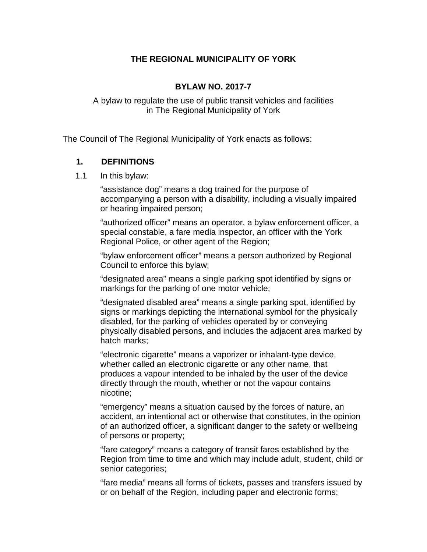## **THE REGIONAL MUNICIPALITY OF YORK**

#### **BYLAW NO. 2017-7**

A bylaw to regulate the use of public transit vehicles and facilities in The Regional Municipality of York

The Council of The Regional Municipality of York enacts as follows:

#### **1. DEFINITIONS**

1.1 In this bylaw:

"assistance dog" means a dog trained for the purpose of accompanying a person with a disability, including a visually impaired or hearing impaired person;

"authorized officer" means an operator, a bylaw enforcement officer, a special constable, a fare media inspector, an officer with the York Regional Police, or other agent of the Region;

"bylaw enforcement officer" means a person authorized by Regional Council to enforce this bylaw;

"designated area" means a single parking spot identified by signs or markings for the parking of one motor vehicle;

"designated disabled area" means a single parking spot, identified by signs or markings depicting the international symbol for the physically disabled, for the parking of vehicles operated by or conveying physically disabled persons, and includes the adjacent area marked by hatch marks;

"electronic cigarette" means a vaporizer or inhalant-type device, whether called an electronic cigarette or any other name, that produces a vapour intended to be inhaled by the user of the device directly through the mouth, whether or not the vapour contains nicotine;

"emergency" means a situation caused by the forces of nature, an accident, an intentional act or otherwise that constitutes, in the opinion of an authorized officer, a significant danger to the safety or wellbeing of persons or property;

"fare category" means a category of transit fares established by the Region from time to time and which may include adult, student, child or senior categories;

"fare media" means all forms of tickets, passes and transfers issued by or on behalf of the Region, including paper and electronic forms;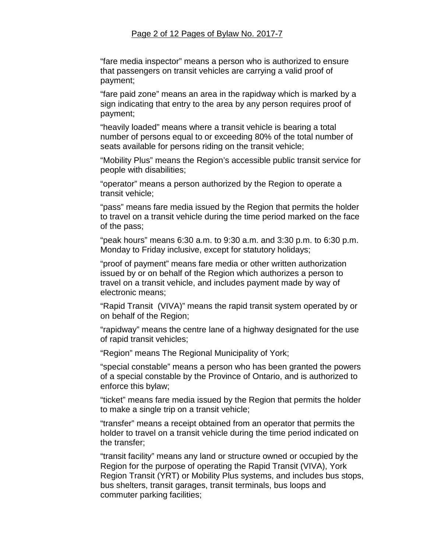#### Page 2 of 12 Pages of Bylaw No. 2017-7

"fare media inspector" means a person who is authorized to ensure that passengers on transit vehicles are carrying a valid proof of payment;

"fare paid zone" means an area in the rapidway which is marked by a sign indicating that entry to the area by any person requires proof of payment;

"heavily loaded" means where a transit vehicle is bearing a total number of persons equal to or exceeding 80% of the total number of seats available for persons riding on the transit vehicle;

"Mobility Plus" means the Region's accessible public transit service for people with disabilities;

"operator" means a person authorized by the Region to operate a transit vehicle;

"pass" means fare media issued by the Region that permits the holder to travel on a transit vehicle during the time period marked on the face of the pass;

"peak hours" means 6:30 a.m. to 9:30 a.m. and 3:30 p.m. to 6:30 p.m. Monday to Friday inclusive, except for statutory holidays;

"proof of payment" means fare media or other written authorization issued by or on behalf of the Region which authorizes a person to travel on a transit vehicle, and includes payment made by way of electronic means;

"Rapid Transit (VIVA)" means the rapid transit system operated by or on behalf of the Region;

"rapidway" means the centre lane of a highway designated for the use of rapid transit vehicles;

"Region" means The Regional Municipality of York;

"special constable" means a person who has been granted the powers of a special constable by the Province of Ontario, and is authorized to enforce this bylaw;

"ticket" means fare media issued by the Region that permits the holder to make a single trip on a transit vehicle;

"transfer" means a receipt obtained from an operator that permits the holder to travel on a transit vehicle during the time period indicated on the transfer;

"transit facility" means any land or structure owned or occupied by the Region for the purpose of operating the Rapid Transit (VIVA), York Region Transit (YRT) or Mobility Plus systems, and includes bus stops, bus shelters, transit garages, transit terminals, bus loops and commuter parking facilities;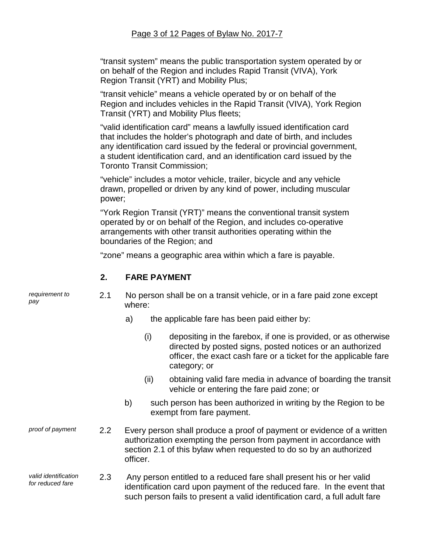"transit system" means the public transportation system operated by or on behalf of the Region and includes Rapid Transit (VIVA), York Region Transit (YRT) and Mobility Plus;

"transit vehicle" means a vehicle operated by or on behalf of the Region and includes vehicles in the Rapid Transit (VIVA), York Region Transit (YRT) and Mobility Plus fleets;

"valid identification card" means a lawfully issued identification card that includes the holder's photograph and date of birth, and includes any identification card issued by the federal or provincial government, a student identification card, and an identification card issued by the Toronto Transit Commission;

"vehicle" includes a motor vehicle, trailer, bicycle and any vehicle drawn, propelled or driven by any kind of power, including muscular power;

"York Region Transit (YRT)" means the conventional transit system operated by or on behalf of the Region, and includes co-operative arrangements with other transit authorities operating within the boundaries of the Region; and

2.1 No person shall be on a transit vehicle, or in a fare paid zone except

"zone" means a geographic area within which a fare is payable.

#### **2. FARE PAYMENT**

*requirement to* 

| pay                                      |                  | where:   |      |                                                                                                                                                                                                                                |  |
|------------------------------------------|------------------|----------|------|--------------------------------------------------------------------------------------------------------------------------------------------------------------------------------------------------------------------------------|--|
|                                          |                  | a)       |      | the applicable fare has been paid either by:                                                                                                                                                                                   |  |
|                                          |                  |          | (i)  | depositing in the farebox, if one is provided, or as otherwise<br>directed by posted signs, posted notices or an authorized<br>officer, the exact cash fare or a ticket for the applicable fare<br>category; or                |  |
|                                          |                  |          | (ii) | obtaining valid fare media in advance of boarding the transit<br>vehicle or entering the fare paid zone; or                                                                                                                    |  |
|                                          |                  | b)       |      | such person has been authorized in writing by the Region to be<br>exempt from fare payment.                                                                                                                                    |  |
| proof of payment                         | $2.2\phantom{0}$ | officer. |      | Every person shall produce a proof of payment or evidence of a written<br>authorization exempting the person from payment in accordance with<br>section 2.1 of this bylaw when requested to do so by an authorized             |  |
| valid identification<br>for reduced fare | 2.3              |          |      | Any person entitled to a reduced fare shall present his or her valid<br>identification card upon payment of the reduced fare. In the event that<br>such person fails to present a valid identification card, a full adult fare |  |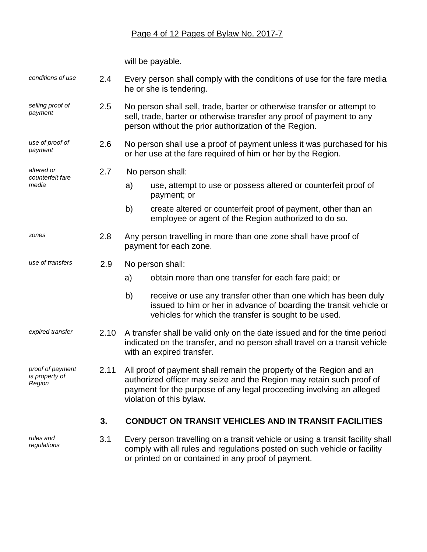# Page 4 of 12 Pages of Bylaw No. 2017-7

will be payable.

| conditions of use                            | 2.4  | Every person shall comply with the conditions of use for the fare media<br>he or she is tendering.                                                                                                                                              |  |  |
|----------------------------------------------|------|-------------------------------------------------------------------------------------------------------------------------------------------------------------------------------------------------------------------------------------------------|--|--|
| selling proof of<br>payment                  | 2.5  | No person shall sell, trade, barter or otherwise transfer or attempt to<br>sell, trade, barter or otherwise transfer any proof of payment to any<br>person without the prior authorization of the Region.                                       |  |  |
| use of proof of<br>payment                   | 2.6  | No person shall use a proof of payment unless it was purchased for his<br>or her use at the fare required of him or her by the Region.                                                                                                          |  |  |
| altered or<br>counterfeit fare               | 2.7  | No person shall:                                                                                                                                                                                                                                |  |  |
| media                                        |      | use, attempt to use or possess altered or counterfeit proof of<br>a)<br>payment; or                                                                                                                                                             |  |  |
|                                              |      | b)<br>create altered or counterfeit proof of payment, other than an<br>employee or agent of the Region authorized to do so.                                                                                                                     |  |  |
| zones                                        | 2.8  | Any person travelling in more than one zone shall have proof of<br>payment for each zone.                                                                                                                                                       |  |  |
| use of transfers                             | 2.9  | No person shall:                                                                                                                                                                                                                                |  |  |
|                                              |      | a)<br>obtain more than one transfer for each fare paid; or                                                                                                                                                                                      |  |  |
|                                              |      | b)<br>receive or use any transfer other than one which has been duly<br>issued to him or her in advance of boarding the transit vehicle or<br>vehicles for which the transfer is sought to be used.                                             |  |  |
| expired transfer                             | 2.10 | A transfer shall be valid only on the date issued and for the time period<br>indicated on the transfer, and no person shall travel on a transit vehicle<br>with an expired transfer.                                                            |  |  |
| proof of payment<br>is property of<br>Region | 2.11 | All proof of payment shall remain the property of the Region and an<br>authorized officer may seize and the Region may retain such proof of<br>payment for the purpose of any legal proceeding involving an alleged<br>violation of this bylaw. |  |  |
|                                              | 3.   | <b>CONDUCT ON TRANSIT VEHICLES AND IN TRANSIT FACILITIES</b>                                                                                                                                                                                    |  |  |
| rules and<br>regulations                     | 3.1  | Every person travelling on a transit vehicle or using a transit facility shall<br>comply with all rules and regulations posted on such vehicle or facility<br>or printed on or contained in any proof of payment.                               |  |  |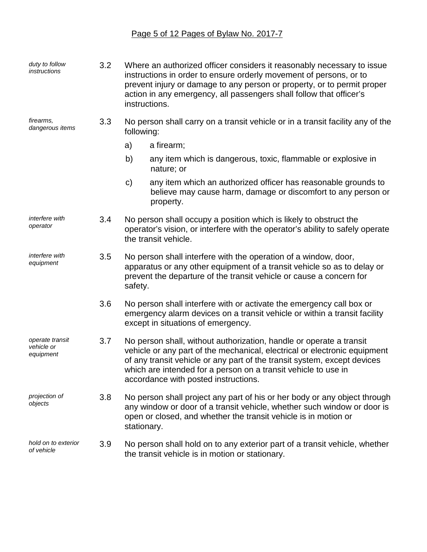# Page 5 of 12 Pages of Bylaw No. 2017-7

| duty to follow<br>instructions             | 3.2 | Where an authorized officer considers it reasonably necessary to issue<br>instructions in order to ensure orderly movement of persons, or to<br>prevent injury or damage to any person or property, or to permit proper<br>action in any emergency, all passengers shall follow that officer's<br>instructions.                        |  |
|--------------------------------------------|-----|----------------------------------------------------------------------------------------------------------------------------------------------------------------------------------------------------------------------------------------------------------------------------------------------------------------------------------------|--|
| firearms,<br>dangerous items               | 3.3 | No person shall carry on a transit vehicle or in a transit facility any of the<br>following:                                                                                                                                                                                                                                           |  |
|                                            |     | a)<br>a firearm;                                                                                                                                                                                                                                                                                                                       |  |
|                                            |     | b)<br>any item which is dangerous, toxic, flammable or explosive in<br>nature; or                                                                                                                                                                                                                                                      |  |
|                                            |     | $\mathbf{C}$<br>any item which an authorized officer has reasonable grounds to<br>believe may cause harm, damage or discomfort to any person or<br>property.                                                                                                                                                                           |  |
| interfere with<br>operator                 | 3.4 | No person shall occupy a position which is likely to obstruct the<br>operator's vision, or interfere with the operator's ability to safely operate<br>the transit vehicle.                                                                                                                                                             |  |
| interfere with<br>3.5<br>equipment         |     | No person shall interfere with the operation of a window, door,<br>apparatus or any other equipment of a transit vehicle so as to delay or<br>prevent the departure of the transit vehicle or cause a concern for<br>safety.                                                                                                           |  |
|                                            | 3.6 | No person shall interfere with or activate the emergency call box or<br>emergency alarm devices on a transit vehicle or within a transit facility<br>except in situations of emergency.                                                                                                                                                |  |
| operate transit<br>vehicle or<br>equipment | 3.7 | No person shall, without authorization, handle or operate a transit<br>vehicle or any part of the mechanical, electrical or electronic equipment<br>of any transit vehicle or any part of the transit system, except devices<br>which are intended for a person on a transit vehicle to use in<br>accordance with posted instructions. |  |
| projection of<br>objects                   | 3.8 | No person shall project any part of his or her body or any object through<br>any window or door of a transit vehicle, whether such window or door is<br>open or closed, and whether the transit vehicle is in motion or<br>stationary.                                                                                                 |  |
| hold on to exterior<br>of vehicle          | 3.9 | No person shall hold on to any exterior part of a transit vehicle, whether<br>the transit vehicle is in motion or stationary.                                                                                                                                                                                                          |  |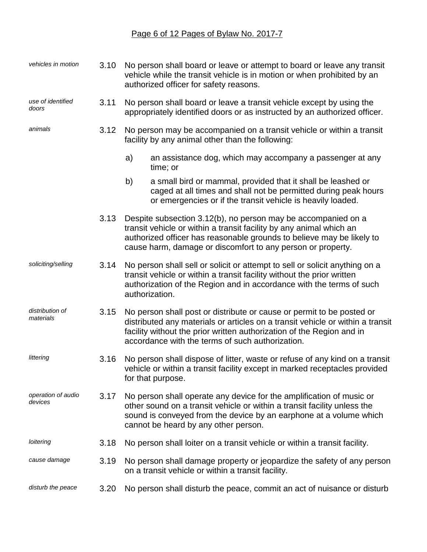# Page 6 of 12 Pages of Bylaw No. 2017-7

| vehicles in motion            | 3.10 | No person shall board or leave or attempt to board or leave any transit<br>vehicle while the transit vehicle is in motion or when prohibited by an<br>authorized officer for safety reasons.                                                                                         |  |  |
|-------------------------------|------|--------------------------------------------------------------------------------------------------------------------------------------------------------------------------------------------------------------------------------------------------------------------------------------|--|--|
| use of identified<br>doors    | 3.11 | No person shall board or leave a transit vehicle except by using the<br>appropriately identified doors or as instructed by an authorized officer.                                                                                                                                    |  |  |
| animals                       | 3.12 | No person may be accompanied on a transit vehicle or within a transit<br>facility by any animal other than the following:                                                                                                                                                            |  |  |
|                               |      | a)<br>an assistance dog, which may accompany a passenger at any<br>time; or                                                                                                                                                                                                          |  |  |
|                               |      | a small bird or mammal, provided that it shall be leashed or<br>b)<br>caged at all times and shall not be permitted during peak hours<br>or emergencies or if the transit vehicle is heavily loaded.                                                                                 |  |  |
|                               | 3.13 | Despite subsection 3.12(b), no person may be accompanied on a<br>transit vehicle or within a transit facility by any animal which an<br>authorized officer has reasonable grounds to believe may be likely to<br>cause harm, damage or discomfort to any person or property.         |  |  |
| soliciting/selling            | 3.14 | No person shall sell or solicit or attempt to sell or solicit anything on a<br>transit vehicle or within a transit facility without the prior written<br>authorization of the Region and in accordance with the terms of such<br>authorization.                                      |  |  |
| distribution of<br>materials  | 3.15 | No person shall post or distribute or cause or permit to be posted or<br>distributed any materials or articles on a transit vehicle or within a transit<br>facility without the prior written authorization of the Region and in<br>accordance with the terms of such authorization. |  |  |
| littering                     | 3.16 | No person shall dispose of litter, waste or refuse of any kind on a transit<br>vehicle or within a transit facility except in marked receptacles provided<br>for that purpose.                                                                                                       |  |  |
| operation of audio<br>devices | 3.17 | No person shall operate any device for the amplification of music or<br>other sound on a transit vehicle or within a transit facility unless the<br>sound is conveyed from the device by an earphone at a volume which<br>cannot be heard by any other person.                       |  |  |
| loitering                     | 3.18 | No person shall loiter on a transit vehicle or within a transit facility.                                                                                                                                                                                                            |  |  |
| cause damage                  | 3.19 | No person shall damage property or jeopardize the safety of any person<br>on a transit vehicle or within a transit facility.                                                                                                                                                         |  |  |
| disturb the peace             | 3.20 | No person shall disturb the peace, commit an act of nuisance or disturb                                                                                                                                                                                                              |  |  |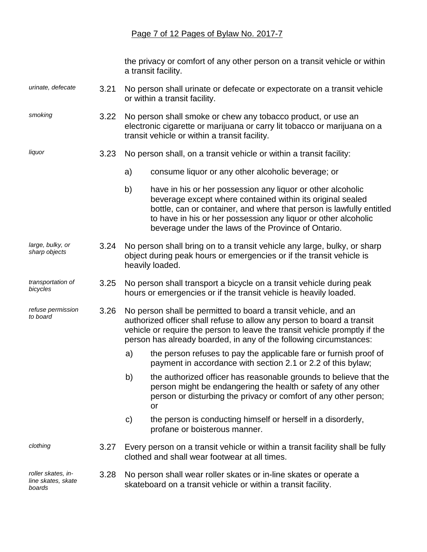#### Page 7 of 12 Pages of Bylaw No. 2017-7

the privacy or comfort of any other person on a transit vehicle or within a transit facility.

- *urinate, defecate* 3.21 No person shall urinate or defecate or expectorate on a transit vehicle or within a transit facility.
- *smoking* 3.22 No person shall smoke or chew any tobacco product, or use an electronic cigarette or marijuana or carry lit tobacco or marijuana on a transit vehicle or within a transit facility.

*liquor*

*bicycles*

*to board*

*refuse permission* 

- 3.23 No person shall, on a transit vehicle or within a transit facility:
	- a) consume liquor or any other alcoholic beverage; or
	- b) have in his or her possession any liquor or other alcoholic beverage except where contained within its original sealed bottle, can or container, and where that person is lawfully entitled to have in his or her possession any liquor or other alcoholic beverage under the laws of the Province of Ontario.
- *large, bulky, or sharp objects* 3.24 No person shall bring on to a transit vehicle any large, bulky, or sharp object during peak hours or emergencies or if the transit vehicle is heavily loaded.
- *transportation of*  3.25 No person shall transport a bicycle on a transit vehicle during peak hours or emergencies or if the transit vehicle is heavily loaded.
	- 3.26 No person shall be permitted to board a transit vehicle, and an authorized officer shall refuse to allow any person to board a transit vehicle or require the person to leave the transit vehicle promptly if the person has already boarded, in any of the following circumstances:
		- a) the person refuses to pay the applicable fare or furnish proof of payment in accordance with section 2.1 or 2.2 of this bylaw;
		- b) the authorized officer has reasonable grounds to believe that the person might be endangering the health or safety of any other person or disturbing the privacy or comfort of any other person; or
		- c) the person is conducting himself or herself in a disorderly, profane or boisterous manner.

*clothing*

*roller skates, inline skates, skate boards*

- 3.27 Every person on a transit vehicle or within a transit facility shall be fully clothed and shall wear footwear at all times.
- 3.28 No person shall wear roller skates or in-line skates or operate a skateboard on a transit vehicle or within a transit facility.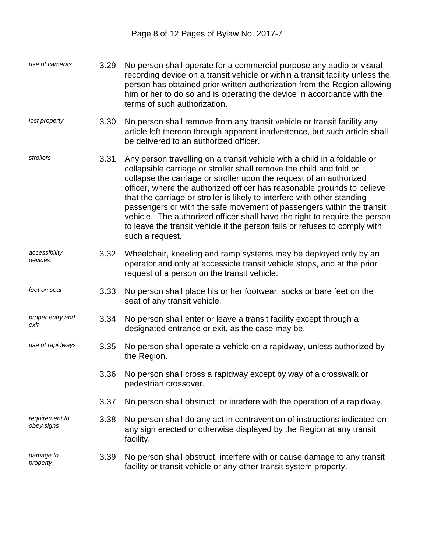| use of cameras               | 3.29 | No person shall operate for a commercial purpose any audio or visual<br>recording device on a transit vehicle or within a transit facility unless the<br>person has obtained prior written authorization from the Region allowing<br>him or her to do so and is operating the device in accordance with the<br>terms of such authorization.                                                                                                                                                                                                                                                                                           |
|------------------------------|------|---------------------------------------------------------------------------------------------------------------------------------------------------------------------------------------------------------------------------------------------------------------------------------------------------------------------------------------------------------------------------------------------------------------------------------------------------------------------------------------------------------------------------------------------------------------------------------------------------------------------------------------|
| lost property                | 3.30 | No person shall remove from any transit vehicle or transit facility any<br>article left thereon through apparent inadvertence, but such article shall<br>be delivered to an authorized officer.                                                                                                                                                                                                                                                                                                                                                                                                                                       |
| strollers                    | 3.31 | Any person travelling on a transit vehicle with a child in a foldable or<br>collapsible carriage or stroller shall remove the child and fold or<br>collapse the carriage or stroller upon the request of an authorized<br>officer, where the authorized officer has reasonable grounds to believe<br>that the carriage or stroller is likely to interfere with other standing<br>passengers or with the safe movement of passengers within the transit<br>vehicle. The authorized officer shall have the right to require the person<br>to leave the transit vehicle if the person fails or refuses to comply with<br>such a request. |
| accessibility<br>devices     | 3.32 | Wheelchair, kneeling and ramp systems may be deployed only by an<br>operator and only at accessible transit vehicle stops, and at the prior<br>request of a person on the transit vehicle.                                                                                                                                                                                                                                                                                                                                                                                                                                            |
| feet on seat                 | 3.33 | No person shall place his or her footwear, socks or bare feet on the<br>seat of any transit vehicle.                                                                                                                                                                                                                                                                                                                                                                                                                                                                                                                                  |
| proper entry and<br>exit     | 3.34 | No person shall enter or leave a transit facility except through a<br>designated entrance or exit, as the case may be.                                                                                                                                                                                                                                                                                                                                                                                                                                                                                                                |
| use of rapidways             | 3.35 | No person shall operate a vehicle on a rapidway, unless authorized by<br>the Region.                                                                                                                                                                                                                                                                                                                                                                                                                                                                                                                                                  |
|                              | 3.36 | No person shall cross a rapidway except by way of a crosswalk or<br>pedestrian crossover.                                                                                                                                                                                                                                                                                                                                                                                                                                                                                                                                             |
|                              | 3.37 | No person shall obstruct, or interfere with the operation of a rapidway.                                                                                                                                                                                                                                                                                                                                                                                                                                                                                                                                                              |
| requirement to<br>obey signs | 3.38 | No person shall do any act in contravention of instructions indicated on<br>any sign erected or otherwise displayed by the Region at any transit<br>facility.                                                                                                                                                                                                                                                                                                                                                                                                                                                                         |
| damage to<br>property        | 3.39 | No person shall obstruct, interfere with or cause damage to any transit<br>facility or transit vehicle or any other transit system property.                                                                                                                                                                                                                                                                                                                                                                                                                                                                                          |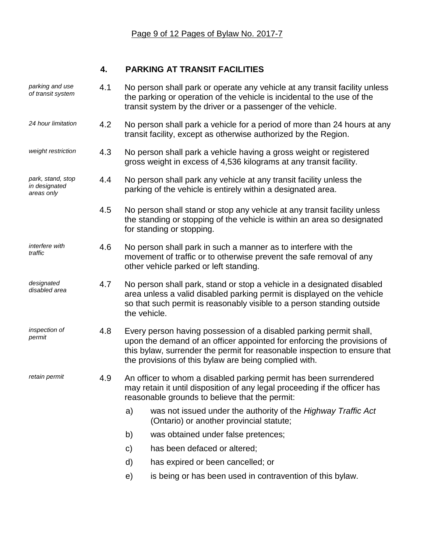# **4. PARKING AT TRANSIT FACILITIES**

| parking and use<br>of transit system             | 4.1 | No person shall park or operate any vehicle at any transit facility unless<br>the parking or operation of the vehicle is incidental to the use of the<br>transit system by the driver or a passenger of the vehicle.                                                                |  |  |
|--------------------------------------------------|-----|-------------------------------------------------------------------------------------------------------------------------------------------------------------------------------------------------------------------------------------------------------------------------------------|--|--|
| 24 hour limitation                               | 4.2 | No person shall park a vehicle for a period of more than 24 hours at any<br>transit facility, except as otherwise authorized by the Region.                                                                                                                                         |  |  |
| weight restriction                               | 4.3 | No person shall park a vehicle having a gross weight or registered<br>gross weight in excess of 4,536 kilograms at any transit facility.                                                                                                                                            |  |  |
| park, stand, stop<br>in designated<br>areas only | 4.4 | No person shall park any vehicle at any transit facility unless the<br>parking of the vehicle is entirely within a designated area.                                                                                                                                                 |  |  |
|                                                  | 4.5 | No person shall stand or stop any vehicle at any transit facility unless<br>the standing or stopping of the vehicle is within an area so designated<br>for standing or stopping.                                                                                                    |  |  |
| interfere with<br>traffic                        | 4.6 | No person shall park in such a manner as to interfere with the<br>movement of traffic or to otherwise prevent the safe removal of any<br>other vehicle parked or left standing.                                                                                                     |  |  |
| designated<br>disabled area                      | 4.7 | No person shall park, stand or stop a vehicle in a designated disabled<br>area unless a valid disabled parking permit is displayed on the vehicle<br>so that such permit is reasonably visible to a person standing outside<br>the vehicle.                                         |  |  |
| inspection of<br>permit                          | 4.8 | Every person having possession of a disabled parking permit shall,<br>upon the demand of an officer appointed for enforcing the provisions of<br>this bylaw, surrender the permit for reasonable inspection to ensure that<br>the provisions of this bylaw are being complied with. |  |  |
| retain permit                                    | 4.9 | An officer to whom a disabled parking permit has been surrendered<br>may retain it until disposition of any legal proceeding if the officer has<br>reasonable grounds to believe that the permit:                                                                                   |  |  |
|                                                  |     | was not issued under the authority of the Highway Traffic Act<br>a)<br>(Ontario) or another provincial statute;                                                                                                                                                                     |  |  |
|                                                  |     | b)<br>was obtained under false pretences;                                                                                                                                                                                                                                           |  |  |
|                                                  |     | has been defaced or altered;<br>C)                                                                                                                                                                                                                                                  |  |  |
|                                                  |     | d)<br>has expired or been cancelled; or                                                                                                                                                                                                                                             |  |  |
|                                                  |     | is being or has been used in contravention of this bylaw.<br>e)                                                                                                                                                                                                                     |  |  |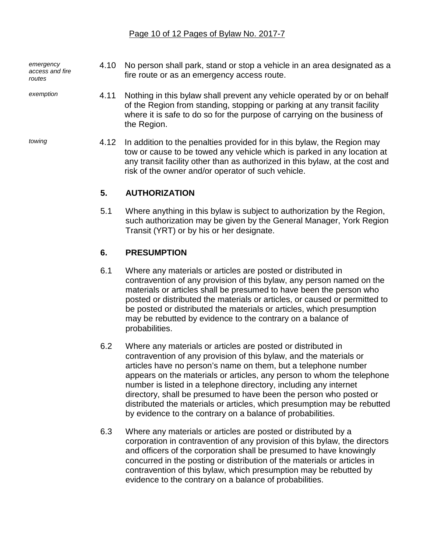*emergency access and fire routes*

*exemption*

- 4.10 No person shall park, stand or stop a vehicle in an area designated as a fire route or as an emergency access route.
- 4.11 Nothing in this bylaw shall prevent any vehicle operated by or on behalf of the Region from standing, stopping or parking at any transit facility where it is safe to do so for the purpose of carrying on the business of the Region.
- 4.12 In addition to the penalties provided for in this bylaw, the Region may tow or cause to be towed any vehicle which is parked in any location at any transit facility other than as authorized in this bylaw, at the cost and risk of the owner and/or operator of such vehicle.

# **5. AUTHORIZATION**

5.1 Where anything in this bylaw is subject to authorization by the Region, such authorization may be given by the General Manager, York Region Transit (YRT) or by his or her designate.

# **6. PRESUMPTION**

- 6.1 Where any materials or articles are posted or distributed in contravention of any provision of this bylaw, any person named on the materials or articles shall be presumed to have been the person who posted or distributed the materials or articles, or caused or permitted to be posted or distributed the materials or articles, which presumption may be rebutted by evidence to the contrary on a balance of probabilities.
- 6.2 Where any materials or articles are posted or distributed in contravention of any provision of this bylaw, and the materials or articles have no person's name on them, but a telephone number appears on the materials or articles, any person to whom the telephone number is listed in a telephone directory, including any internet directory, shall be presumed to have been the person who posted or distributed the materials or articles, which presumption may be rebutted by evidence to the contrary on a balance of probabilities.
- 6.3 Where any materials or articles are posted or distributed by a corporation in contravention of any provision of this bylaw, the directors and officers of the corporation shall be presumed to have knowingly concurred in the posting or distribution of the materials or articles in contravention of this bylaw, which presumption may be rebutted by evidence to the contrary on a balance of probabilities.

*towing*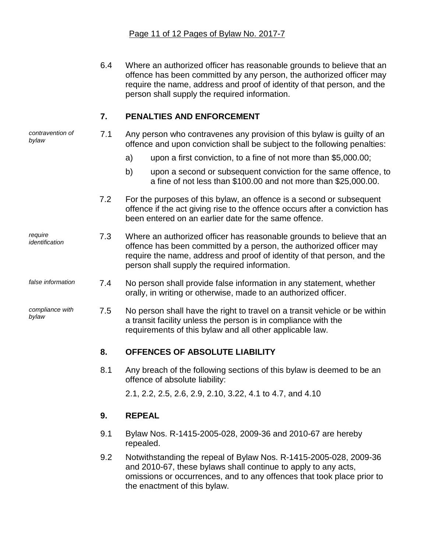6.4 Where an authorized officer has reasonable grounds to believe that an offence has been committed by any person, the authorized officer may require the name, address and proof of identity of that person, and the person shall supply the required information.

#### **7. PENALTIES AND ENFORCEMENT**

*contravention of bylaw*

*require*

*compliance with* 

*bylaw*

- 7.1 Any person who contravenes any provision of this bylaw is guilty of an offence and upon conviction shall be subject to the following penalties:
	- a) upon a first conviction, to a fine of not more than \$5,000.00;
	- b) upon a second or subsequent conviction for the same offence, to a fine of not less than \$100.00 and not more than \$25,000.00.
- 7.2 For the purposes of this bylaw, an offence is a second or subsequent offence if the act giving rise to the offence occurs after a conviction has been entered on an earlier date for the same offence.
- *identification* 7.3 Where an authorized officer has reasonable grounds to believe that an offence has been committed by a person, the authorized officer may require the name, address and proof of identity of that person, and the person shall supply the required information.
- *false information* 7.4 No person shall provide false information in any statement, whether orally, in writing or otherwise, made to an authorized officer.
	- 7.5 No person shall have the right to travel on a transit vehicle or be within a transit facility unless the person is in compliance with the requirements of this bylaw and all other applicable law.

## **8. OFFENCES OF ABSOLUTE LIABILITY**

8.1 Any breach of the following sections of this bylaw is deemed to be an offence of absolute liability:

2.1, 2.2, 2.5, 2.6, 2.9, 2.10, 3.22, 4.1 to 4.7, and 4.10

## **9. REPEAL**

- 9.1 Bylaw Nos. R-1415-2005-028, 2009-36 and 2010-67 are hereby repealed.
- 9.2 Notwithstanding the repeal of Bylaw Nos. R-1415-2005-028, 2009-36 and 2010-67, these bylaws shall continue to apply to any acts, omissions or occurrences, and to any offences that took place prior to the enactment of this bylaw.